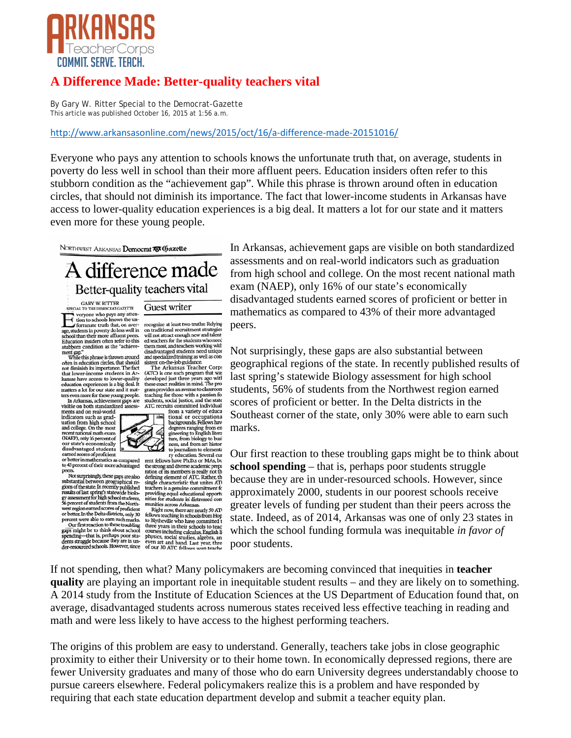

## **A Difference Made: Better-quality teachers vital**

[By Gary W. Ritter Special to the Democrat-Gazette](http://www.arkansasonline.com/news/2015/oct/16/a-difference-made-20151016/) This article was published October 16, 2015 at 1:56 a.m.

## http://www.arkansasonline.com/news/2015/oct/16/a-difference-made-20151016/

Everyone who pays any attention to schools knows the unfortunate truth that, on average, students in poverty do less well in school than their more affluent peers. Education insiders often refer to this stubborn condition as the "achievement gap". While this phrase is thrown around often in education circles, that should not diminish its importance. The fact that lower-income students in Arkansas have access to lower-quality education experiences is a big deal. It matters a lot for our state and it matters even more for these young people.

NORTHWEST ARKANSAS Democrat 75 Gazette

## A difference made Better-quality teachers vital

GARY W. RITTER<br>SPECIAL TO THE DEMOCRAT-GAZETTE

veryone who pays any attention to schools knows the un-<br>fortunate truth that, on average, students in poverty do less well in<br>school than their more affluent peers.<br>Education insiders often refer to this<br>stubborn condition as the "achieve-

ment gap."<br>While this phrase is thrown around<br>often in education circles, that should often in education circles, that should often in education crices, that should<br>not diminish its importance. The fact<br>that lower-income students in Ar-<br>kansas have access to lower-quality<br>education experiences is a big deal. It<br>matters a lot for our state and it maters a for for these young people.<br>In Arkansas, achievement gaps are<br>visible on both standardized assess-

ments and on real-world ments and on real-world<br>indicators such as grad-<br>uation from high school<br>and college. On the most<br>recent national math exam<br>(NAEP), only 16 percent of our state's economically

our state is coolonically<br>disadvantaged students<br>earned scores of proficient<br>of their mathematics as compared<br>to 43 percent of their more advantaged peers

peers.<br>
Not surprisingly, these gaps are also<br>
substantial between geographical re-<br>
gions of the state. In recently published<br>
results of last spring's statewide biolo-<br>
gy assessment for high school students,<br>
So percent system of students about the rotation<br>of proferent or better. In the Delta districts, only 30<br>percent were able to earn such marks.<br>Our first reaction to these troubling

example to think about school<br>spending—that is, perhaps poor students struggle because they are in under-resourced schools. However, since

recognize at least two truths: Relying<br>on traditional recruitment strategies<br>will not attract enough new and talented teachers for the students who need ed teachers for the statements working with<br>them most, and teachers working with<br>disadvantaged students need unique<br>and specialized training as well as consistent on-the-job guidance.

Guest writer

The Arkansas Teacher Corp. (ATC) is one such program that was<br>developed just three years ago with<br>these exact realities in mind. The pro gram provides an avenue to classroom<br>teaching for those with a passion for<br>students, social justice, and the state<br>ATC recruits committed individual



the strong and diverse academic preparation of its members is really not the defining element of ATC. Rather, the single characteristic that unites AT teachers is a genuine commitment for<br>teachers is a genuine commitment for<br>providing equal educational opports<br>nities for students in distressed com munities across Arkansas.

Right now, there are nearly 50 AT Right now, there are nearly 50 AT<br>fellows teaching in schools from Hop fellows teaching in schools from Hop to Blytheville who have committed three years in their schools to teach<br>courses including calculus, English list o In Arkansas, achievement gaps are visible on both standardized assessments and on real-world indicators such as graduation from high school and college. On the most recent national math exam (NAEP), only 16% of our state's economically disadvantaged students earned scores of proficient or better in mathematics as compared to 43% of their more advantaged peers.

Not surprisingly, these gaps are also substantial between geographical regions of the state. In recently published results of last spring's statewide Biology assessment for high school students, 56% of students from the Northwest region earned scores of proficient or better. In the Delta districts in the Southeast corner of the state, only 30% were able to earn such marks.

Our first reaction to these troubling gaps might be to think about **school spending** – that is, perhaps poor students struggle because they are in under-resourced schools. However, since approximately 2000, students in our poorest schools receive greater levels of funding per student than their peers across the state. Indeed, as of 2014, Arkansas was one of only 23 states in which the school funding formula was inequitable *in favor of* poor students.

If not spending, then what? Many policymakers are becoming convinced that inequities in **teacher quality** are playing an important role in inequitable student results – and they are likely on to something. A 2014 study from the Institute of Education Sciences at the US Department of Education found that, on average, disadvantaged students across numerous states received less effective teaching in reading and math and were less likely to have access to the highest performing teachers.

The origins of this problem are easy to understand. Generally, teachers take jobs in close geographic proximity to either their University or to their home town. In economically depressed regions, there are fewer University graduates and many of those who do earn University degrees understandably choose to pursue careers elsewhere. Federal policymakers realize this is a problem and have responded by requiring that each state education department develop and submit a teacher equity plan.